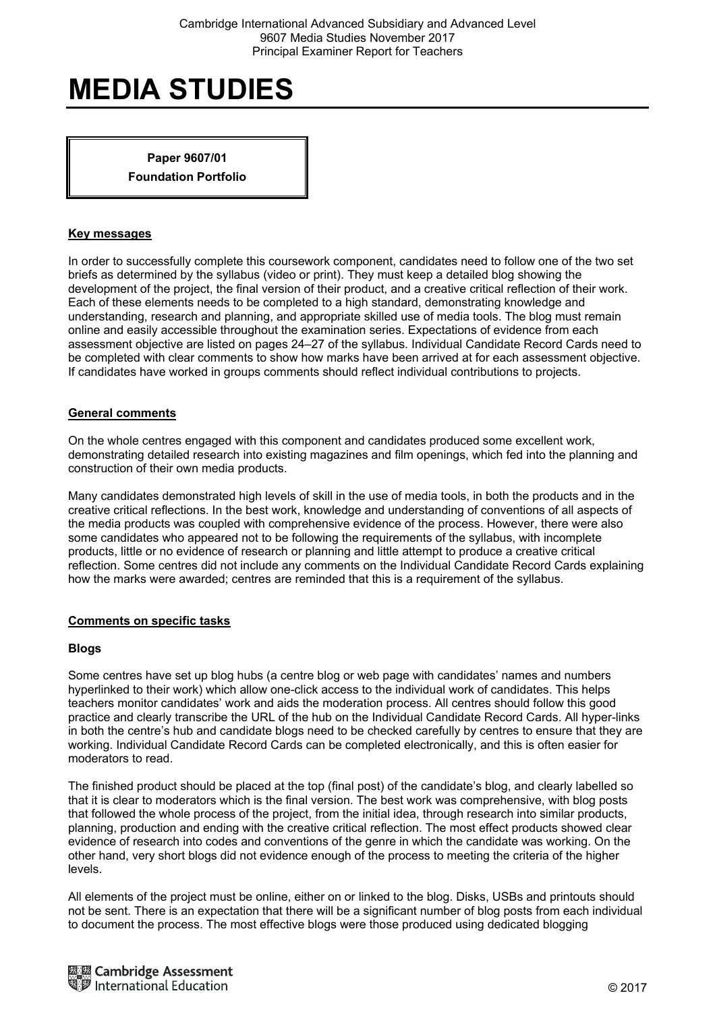**Paper 9607/01 Foundation Portfolio** 

## **Key messages**

In order to successfully complete this coursework component, candidates need to follow one of the two set briefs as determined by the syllabus (video or print). They must keep a detailed blog showing the development of the project, the final version of their product, and a creative critical reflection of their work. Each of these elements needs to be completed to a high standard, demonstrating knowledge and understanding, research and planning, and appropriate skilled use of media tools. The blog must remain online and easily accessible throughout the examination series. Expectations of evidence from each assessment objective are listed on pages 24–27 of the syllabus. Individual Candidate Record Cards need to be completed with clear comments to show how marks have been arrived at for each assessment objective. If candidates have worked in groups comments should reflect individual contributions to projects.

## **General comments**

On the whole centres engaged with this component and candidates produced some excellent work, demonstrating detailed research into existing magazines and film openings, which fed into the planning and construction of their own media products.

Many candidates demonstrated high levels of skill in the use of media tools, in both the products and in the creative critical reflections. In the best work, knowledge and understanding of conventions of all aspects of the media products was coupled with comprehensive evidence of the process. However, there were also some candidates who appeared not to be following the requirements of the syllabus, with incomplete products, little or no evidence of research or planning and little attempt to produce a creative critical reflection. Some centres did not include any comments on the Individual Candidate Record Cards explaining how the marks were awarded; centres are reminded that this is a requirement of the syllabus.

# **Comments on specific tasks**

#### **Blogs**

Some centres have set up blog hubs (a centre blog or web page with candidates' names and numbers hyperlinked to their work) which allow one-click access to the individual work of candidates. This helps teachers monitor candidates' work and aids the moderation process. All centres should follow this good practice and clearly transcribe the URL of the hub on the Individual Candidate Record Cards. All hyper-links in both the centre's hub and candidate blogs need to be checked carefully by centres to ensure that they are working. Individual Candidate Record Cards can be completed electronically, and this is often easier for moderators to read.

The finished product should be placed at the top (final post) of the candidate's blog, and clearly labelled so that it is clear to moderators which is the final version. The best work was comprehensive, with blog posts that followed the whole process of the project, from the initial idea, through research into similar products, planning, production and ending with the creative critical reflection. The most effect products showed clear evidence of research into codes and conventions of the genre in which the candidate was working. On the other hand, very short blogs did not evidence enough of the process to meeting the criteria of the higher levels.

All elements of the project must be online, either on or linked to the blog. Disks, USBs and printouts should not be sent. There is an expectation that there will be a significant number of blog posts from each individual to document the process. The most effective blogs were those produced using dedicated blogging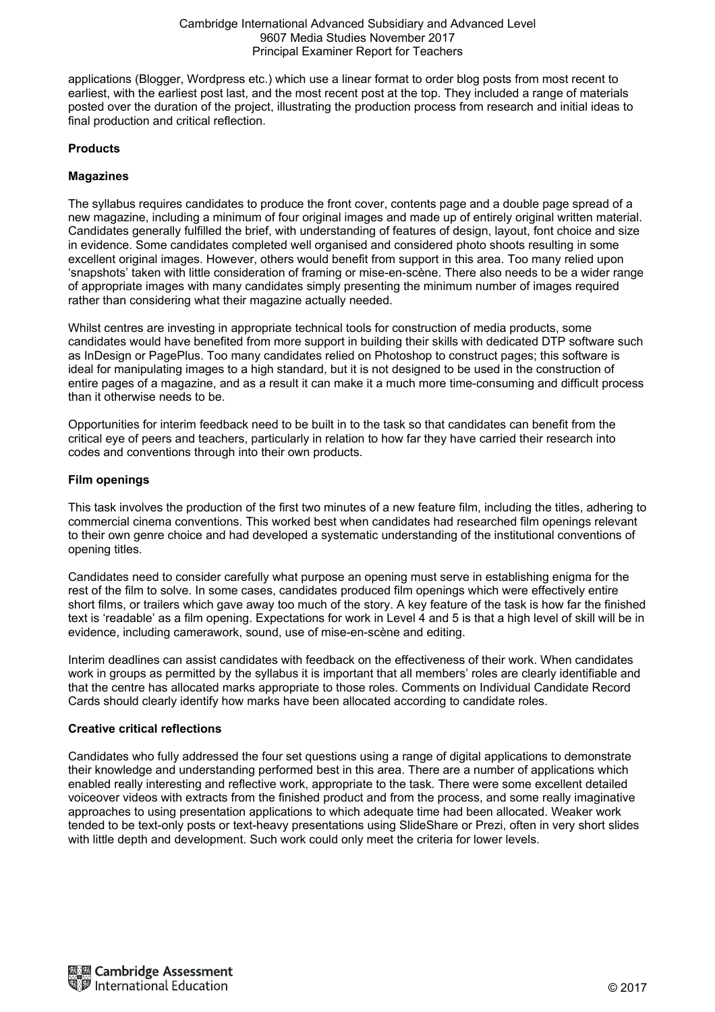#### Cambridge International Advanced Subsidiary and Advanced Level 9607 Media Studies November 2017 Principal Examiner Report for Teachers

applications (Blogger, Wordpress etc.) which use a linear format to order blog posts from most recent to earliest, with the earliest post last, and the most recent post at the top. They included a range of materials posted over the duration of the project, illustrating the production process from research and initial ideas to final production and critical reflection.

# **Products**

# **Magazines**

The syllabus requires candidates to produce the front cover, contents page and a double page spread of a new magazine, including a minimum of four original images and made up of entirely original written material. Candidates generally fulfilled the brief, with understanding of features of design, layout, font choice and size in evidence. Some candidates completed well organised and considered photo shoots resulting in some excellent original images. However, others would benefit from support in this area. Too many relied upon 'snapshots' taken with little consideration of framing or mise-en-scène. There also needs to be a wider range of appropriate images with many candidates simply presenting the minimum number of images required rather than considering what their magazine actually needed.

Whilst centres are investing in appropriate technical tools for construction of media products, some candidates would have benefited from more support in building their skills with dedicated DTP software such as InDesign or PagePlus. Too many candidates relied on Photoshop to construct pages; this software is ideal for manipulating images to a high standard, but it is not designed to be used in the construction of entire pages of a magazine, and as a result it can make it a much more time-consuming and difficult process than it otherwise needs to be.

Opportunities for interim feedback need to be built in to the task so that candidates can benefit from the critical eye of peers and teachers, particularly in relation to how far they have carried their research into codes and conventions through into their own products.

## **Film openings**

This task involves the production of the first two minutes of a new feature film, including the titles, adhering to commercial cinema conventions. This worked best when candidates had researched film openings relevant to their own genre choice and had developed a systematic understanding of the institutional conventions of opening titles.

Candidates need to consider carefully what purpose an opening must serve in establishing enigma for the rest of the film to solve. In some cases, candidates produced film openings which were effectively entire short films, or trailers which gave away too much of the story. A key feature of the task is how far the finished text is 'readable' as a film opening. Expectations for work in Level 4 and 5 is that a high level of skill will be in evidence, including camerawork, sound, use of mise-en-scène and editing.

Interim deadlines can assist candidates with feedback on the effectiveness of their work. When candidates work in groups as permitted by the syllabus it is important that all members' roles are clearly identifiable and that the centre has allocated marks appropriate to those roles. Comments on Individual Candidate Record Cards should clearly identify how marks have been allocated according to candidate roles.

# **Creative critical reflections**

Candidates who fully addressed the four set questions using a range of digital applications to demonstrate their knowledge and understanding performed best in this area. There are a number of applications which enabled really interesting and reflective work, appropriate to the task. There were some excellent detailed voiceover videos with extracts from the finished product and from the process, and some really imaginative approaches to using presentation applications to which adequate time had been allocated. Weaker work tended to be text-only posts or text-heavy presentations using SlideShare or Prezi, often in very short slides with little depth and development. Such work could only meet the criteria for lower levels.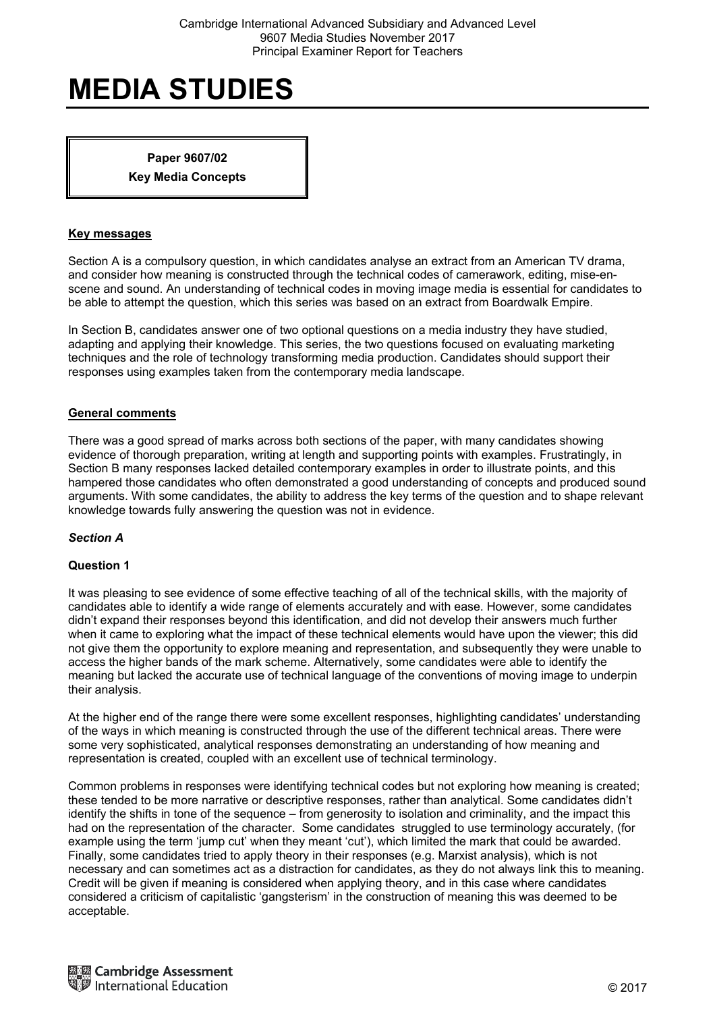**Paper 9607/02 Key Media Concepts** 

### **Key messages**

Section A is a compulsory question, in which candidates analyse an extract from an American TV drama, and consider how meaning is constructed through the technical codes of camerawork, editing, mise-enscene and sound. An understanding of technical codes in moving image media is essential for candidates to be able to attempt the question, which this series was based on an extract from Boardwalk Empire.

In Section B, candidates answer one of two optional questions on a media industry they have studied, adapting and applying their knowledge. This series, the two questions focused on evaluating marketing techniques and the role of technology transforming media production. Candidates should support their responses using examples taken from the contemporary media landscape.

## **General comments**

There was a good spread of marks across both sections of the paper, with many candidates showing evidence of thorough preparation, writing at length and supporting points with examples. Frustratingly, in Section B many responses lacked detailed contemporary examples in order to illustrate points, and this hampered those candidates who often demonstrated a good understanding of concepts and produced sound arguments. With some candidates, the ability to address the key terms of the question and to shape relevant knowledge towards fully answering the question was not in evidence.

# *Section A*

#### **Question 1**

It was pleasing to see evidence of some effective teaching of all of the technical skills, with the majority of candidates able to identify a wide range of elements accurately and with ease. However, some candidates didn't expand their responses beyond this identification, and did not develop their answers much further when it came to exploring what the impact of these technical elements would have upon the viewer; this did not give them the opportunity to explore meaning and representation, and subsequently they were unable to access the higher bands of the mark scheme. Alternatively, some candidates were able to identify the meaning but lacked the accurate use of technical language of the conventions of moving image to underpin their analysis.

At the higher end of the range there were some excellent responses, highlighting candidates' understanding of the ways in which meaning is constructed through the use of the different technical areas. There were some very sophisticated, analytical responses demonstrating an understanding of how meaning and representation is created, coupled with an excellent use of technical terminology.

Common problems in responses were identifying technical codes but not exploring how meaning is created; these tended to be more narrative or descriptive responses, rather than analytical. Some candidates didn't identify the shifts in tone of the sequence – from generosity to isolation and criminality, and the impact this had on the representation of the character. Some candidates struggled to use terminology accurately, (for example using the term 'jump cut' when they meant 'cut'), which limited the mark that could be awarded. Finally, some candidates tried to apply theory in their responses (e.g. Marxist analysis), which is not necessary and can sometimes act as a distraction for candidates, as they do not always link this to meaning. Credit will be given if meaning is considered when applying theory, and in this case where candidates considered a criticism of capitalistic 'gangsterism' in the construction of meaning this was deemed to be acceptable.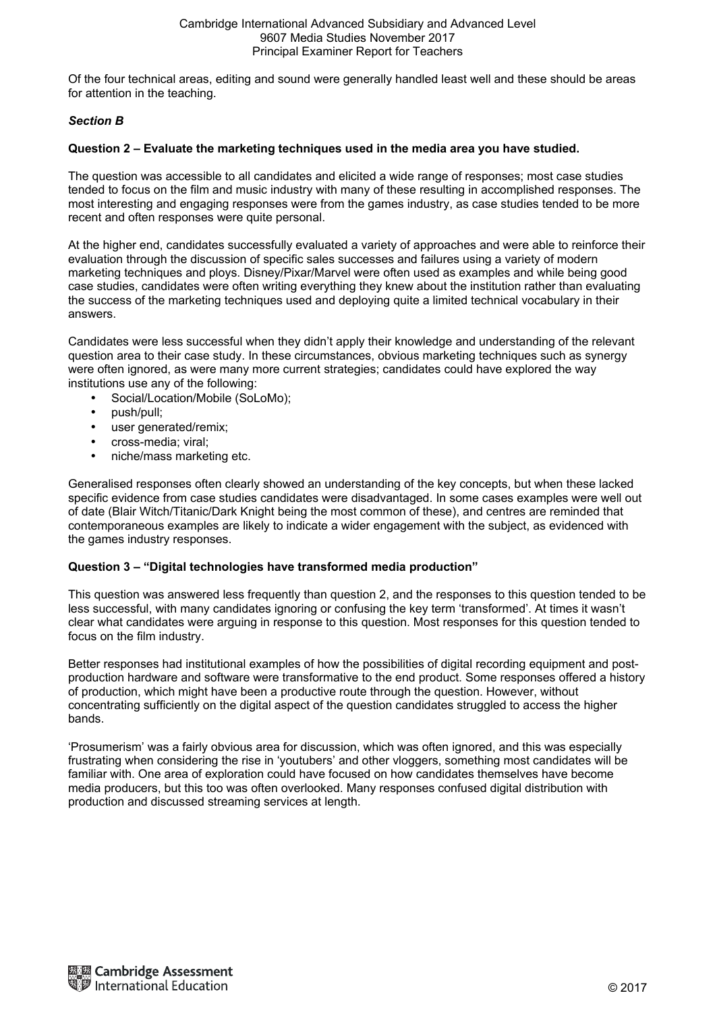Of the four technical areas, editing and sound were generally handled least well and these should be areas for attention in the teaching.

# *Section B*

# **Question 2 – Evaluate the marketing techniques used in the media area you have studied.**

The question was accessible to all candidates and elicited a wide range of responses; most case studies tended to focus on the film and music industry with many of these resulting in accomplished responses. The most interesting and engaging responses were from the games industry, as case studies tended to be more recent and often responses were quite personal.

At the higher end, candidates successfully evaluated a variety of approaches and were able to reinforce their evaluation through the discussion of specific sales successes and failures using a variety of modern marketing techniques and ploys. Disney/Pixar/Marvel were often used as examples and while being good case studies, candidates were often writing everything they knew about the institution rather than evaluating the success of the marketing techniques used and deploying quite a limited technical vocabulary in their answers.

Candidates were less successful when they didn't apply their knowledge and understanding of the relevant question area to their case study. In these circumstances, obvious marketing techniques such as synergy were often ignored, as were many more current strategies; candidates could have explored the way institutions use any of the following:

- Social/Location/Mobile (SoLoMo);
- push/pull;
- user generated/remix;
- cross-media; viral;
- niche/mass marketing etc.

Generalised responses often clearly showed an understanding of the key concepts, but when these lacked specific evidence from case studies candidates were disadvantaged. In some cases examples were well out of date (Blair Witch/Titanic/Dark Knight being the most common of these), and centres are reminded that contemporaneous examples are likely to indicate a wider engagement with the subject, as evidenced with the games industry responses.

# **Question 3 – "Digital technologies have transformed media production"**

This question was answered less frequently than question 2, and the responses to this question tended to be less successful, with many candidates ignoring or confusing the key term 'transformed'. At times it wasn't clear what candidates were arguing in response to this question. Most responses for this question tended to focus on the film industry.

Better responses had institutional examples of how the possibilities of digital recording equipment and postproduction hardware and software were transformative to the end product. Some responses offered a history of production, which might have been a productive route through the question. However, without concentrating sufficiently on the digital aspect of the question candidates struggled to access the higher bands.

'Prosumerism' was a fairly obvious area for discussion, which was often ignored, and this was especially frustrating when considering the rise in 'youtubers' and other vloggers, something most candidates will be familiar with. One area of exploration could have focused on how candidates themselves have become media producers, but this too was often overlooked. Many responses confused digital distribution with production and discussed streaming services at length.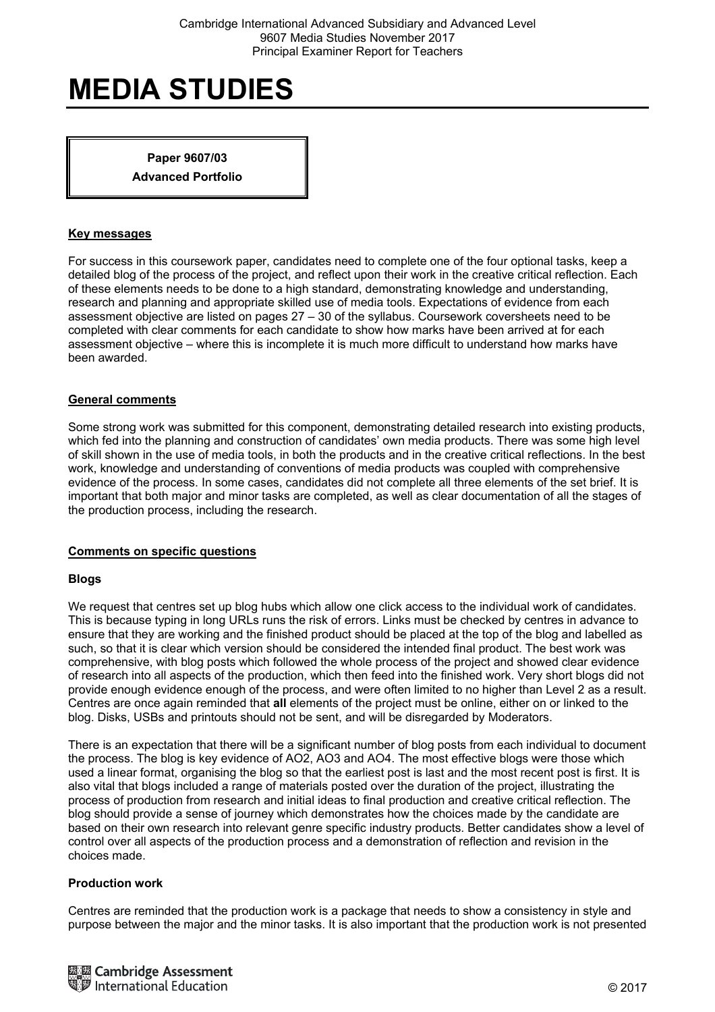**Paper 9607/03 Advanced Portfolio** 

### **Key messages**

For success in this coursework paper, candidates need to complete one of the four optional tasks, keep a detailed blog of the process of the project, and reflect upon their work in the creative critical reflection. Each of these elements needs to be done to a high standard, demonstrating knowledge and understanding, research and planning and appropriate skilled use of media tools. Expectations of evidence from each assessment objective are listed on pages 27 – 30 of the syllabus. Coursework coversheets need to be completed with clear comments for each candidate to show how marks have been arrived at for each assessment objective – where this is incomplete it is much more difficult to understand how marks have been awarded.

## **General comments**

Some strong work was submitted for this component, demonstrating detailed research into existing products, which fed into the planning and construction of candidates' own media products. There was some high level of skill shown in the use of media tools, in both the products and in the creative critical reflections. In the best work, knowledge and understanding of conventions of media products was coupled with comprehensive evidence of the process. In some cases, candidates did not complete all three elements of the set brief. It is important that both major and minor tasks are completed, as well as clear documentation of all the stages of the production process, including the research.

#### **Comments on specific questions**

#### **Blogs**

We request that centres set up blog hubs which allow one click access to the individual work of candidates. This is because typing in long URLs runs the risk of errors. Links must be checked by centres in advance to ensure that they are working and the finished product should be placed at the top of the blog and labelled as such, so that it is clear which version should be considered the intended final product. The best work was comprehensive, with blog posts which followed the whole process of the project and showed clear evidence of research into all aspects of the production, which then feed into the finished work. Very short blogs did not provide enough evidence enough of the process, and were often limited to no higher than Level 2 as a result. Centres are once again reminded that **all** elements of the project must be online, either on or linked to the blog. Disks, USBs and printouts should not be sent, and will be disregarded by Moderators.

There is an expectation that there will be a significant number of blog posts from each individual to document the process. The blog is key evidence of AO2, AO3 and AO4. The most effective blogs were those which used a linear format, organising the blog so that the earliest post is last and the most recent post is first. It is also vital that blogs included a range of materials posted over the duration of the project, illustrating the process of production from research and initial ideas to final production and creative critical reflection. The blog should provide a sense of journey which demonstrates how the choices made by the candidate are based on their own research into relevant genre specific industry products. Better candidates show a level of control over all aspects of the production process and a demonstration of reflection and revision in the choices made.

#### **Production work**

Centres are reminded that the production work is a package that needs to show a consistency in style and purpose between the major and the minor tasks. It is also important that the production work is not presented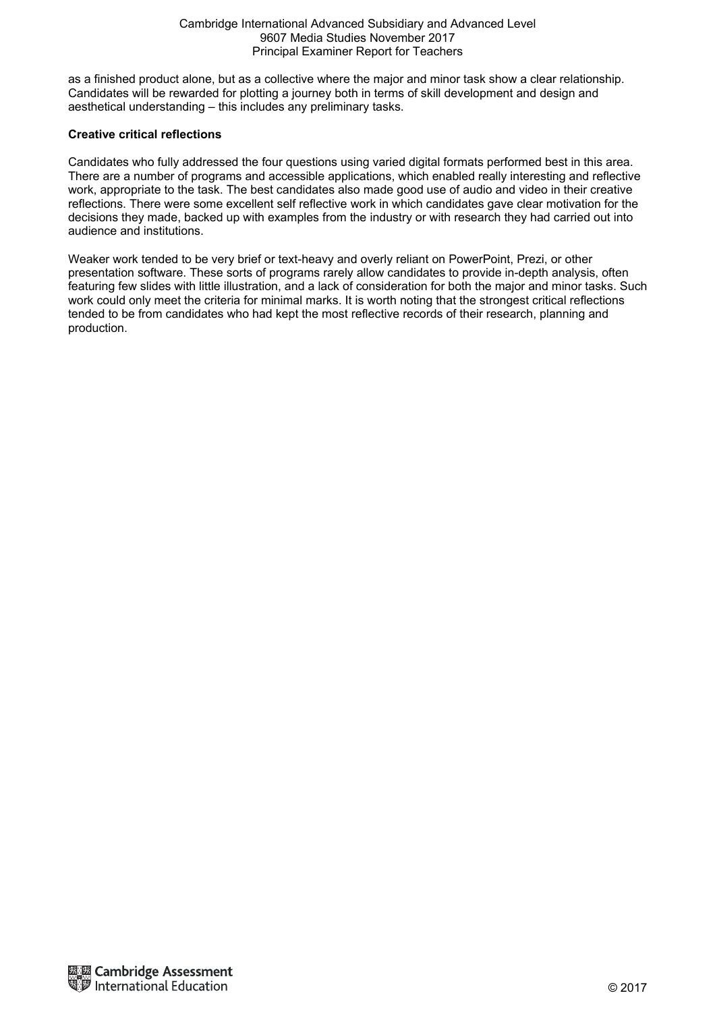#### Cambridge International Advanced Subsidiary and Advanced Level 9607 Media Studies November 2017 Principal Examiner Report for Teachers

as a finished product alone, but as a collective where the major and minor task show a clear relationship. Candidates will be rewarded for plotting a journey both in terms of skill development and design and aesthetical understanding – this includes any preliminary tasks.

# **Creative critical reflections**

Candidates who fully addressed the four questions using varied digital formats performed best in this area. There are a number of programs and accessible applications, which enabled really interesting and reflective work, appropriate to the task. The best candidates also made good use of audio and video in their creative reflections. There were some excellent self reflective work in which candidates gave clear motivation for the decisions they made, backed up with examples from the industry or with research they had carried out into audience and institutions.

Weaker work tended to be very brief or text-heavy and overly reliant on PowerPoint, Prezi, or other presentation software. These sorts of programs rarely allow candidates to provide in-depth analysis, often featuring few slides with little illustration, and a lack of consideration for both the major and minor tasks. Such work could only meet the criteria for minimal marks. It is worth noting that the strongest critical reflections tended to be from candidates who had kept the most reflective records of their research, planning and production.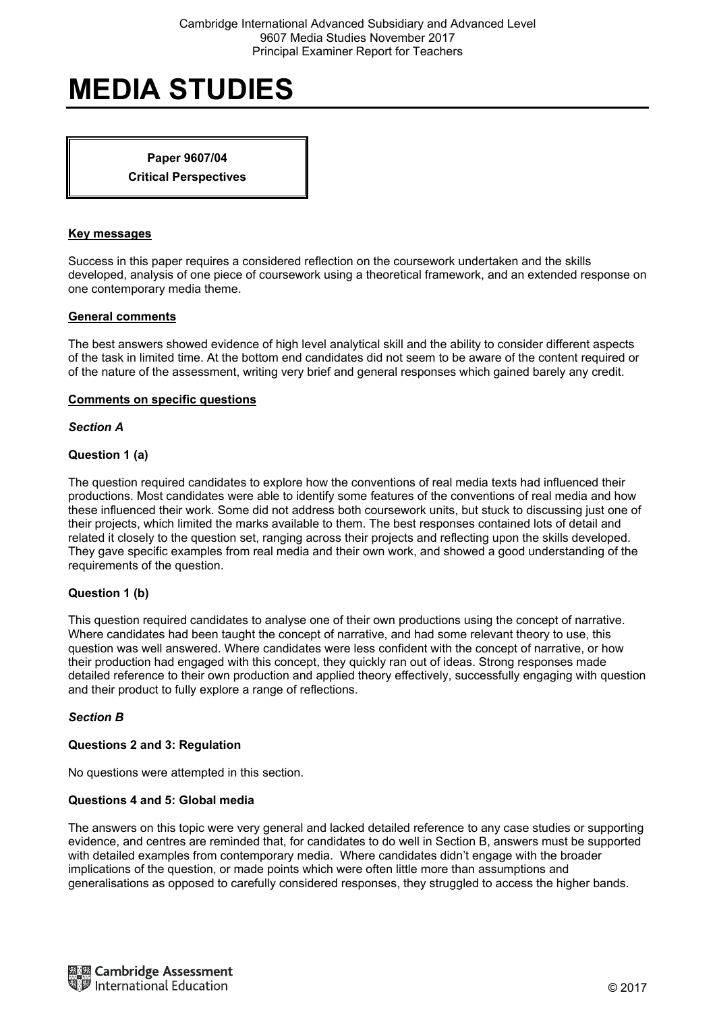**Paper 9607/04 Critical Perspectives** 

### **Key messages**

Success in this paper requires a considered reflection on the coursework undertaken and the skills developed, analysis of one piece of coursework using a theoretical framework, and an extended response on one contemporary media theme.

## **General comments**

The best answers showed evidence of high level analytical skill and the ability to consider different aspects of the task in limited time. At the bottom end candidates did not seem to be aware of the content required or of the nature of the assessment, writing very brief and general responses which gained barely any credit.

## **Comments on specific questions**

*Section A* 

# **Question 1 (a)**

The question required candidates to explore how the conventions of real media texts had influenced their productions. Most candidates were able to identify some features of the conventions of real media and how these influenced their work. Some did not address both coursework units, but stuck to discussing just one of their projects, which limited the marks available to them. The best responses contained lots of detail and related it closely to the question set, ranging across their projects and reflecting upon the skills developed. They gave specific examples from real media and their own work, and showed a good understanding of the requirements of the question.

# **Question 1 (b)**

This question required candidates to analyse one of their own productions using the concept of narrative. Where candidates had been taught the concept of narrative, and had some relevant theory to use, this question was well answered. Where candidates were less confident with the concept of narrative, or how their production had engaged with this concept, they quickly ran out of ideas. Strong responses made detailed reference to their own production and applied theory effectively, successfully engaging with question and their product to fully explore a range of reflections.

#### *Section B*

# **Questions 2 and 3: Regulation**

No questions were attempted in this section.

# **Questions 4 and 5: Global media**

The answers on this topic were very general and lacked detailed reference to any case studies or supporting evidence, and centres are reminded that, for candidates to do well in Section B, answers must be supported with detailed examples from contemporary media. Where candidates didn't engage with the broader implications of the question, or made points which were often little more than assumptions and generalisations as opposed to carefully considered responses, they struggled to access the higher bands.